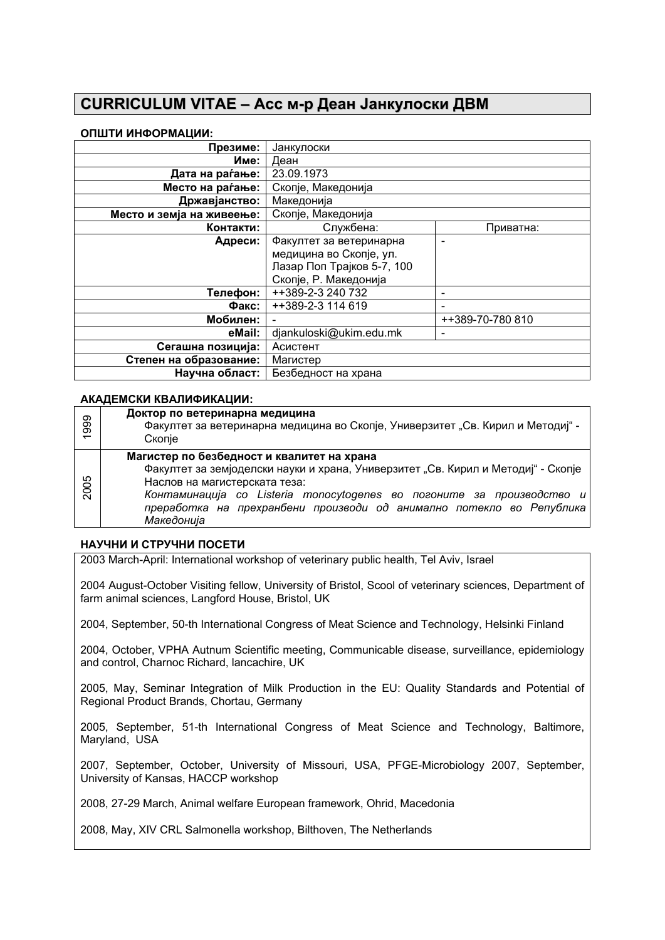# **CURRICULUM VITAE – Асс м-р Деан Јанкулоски ДВМ**

# **ОПШТИ ИНФОРМАЦИИ:**

| Презиме:                  | Јанкулоски                 |                  |
|---------------------------|----------------------------|------------------|
| Име:                      | Деан                       |                  |
| Дата на раѓање:           | 23.09.1973                 |                  |
| Место на раѓање:          | Скопје, Македонија         |                  |
| Државјанство:             | Македонија                 |                  |
| Место и земја на живеење: | Скопје, Македонија         |                  |
| Контакти:                 | Службена:                  | Приватна:        |
| Адреси:                   | Факултет за ветеринарна    |                  |
|                           | медицина во Скопје, ул.    |                  |
|                           | Лазар Поп Трајков 5-7, 100 |                  |
|                           | Скопје, Р. Македонија      |                  |
| Телефон:                  | ++389-2-3 240 732          |                  |
| Факс:                     | ++389-2-3 114 619          |                  |
| Мобилен:                  |                            | ++389-70-780 810 |
| eMail:                    | djankuloski@ukim.edu.mk    |                  |
| Сегашна позиција:         | Асистент                   |                  |
| Степен на образование:    | Магистер                   |                  |
| Научна област:            | Безбедност на храна        |                  |

# **АКАДЕМСКИ КВАЛИФИКАЦИИ:**

| 1999 | Доктор по ветеринарна медицина<br>Факултет за ветеринарна медицина во Скопје, Универзитет "Св. Кирил и Методиј" -<br>Скопје                                                                                                                                                                                                     |
|------|---------------------------------------------------------------------------------------------------------------------------------------------------------------------------------------------------------------------------------------------------------------------------------------------------------------------------------|
| 2005 | Магистер по безбедност и квалитет на храна<br>Факултет за земјоделски науки и храна, Универзитет "Св. Кирил и Методиј" - Скопје<br>Наслов на магистерската теза:<br>Контаминација со Listeria monocytogenes во погоните за производство и<br>преработка на прехранбени производи од анимално потекло во Република<br>Македонија |

# **НАУЧНИ И СТРУЧНИ ПОСЕТИ**

2003 March-April: International workshop of veterinary public health, Tel Aviv, Israel

2004 August-October Visiting fellow, University of Bristol, Scool of veterinary sciences, Department of farm animal sciences, Langford House, Bristol, UK

2004, September, 50-th International Congress of Meat Science and Technology, Helsinki Finland

2004, October, VPHA Autnum Scientific meeting, Communicable disease, surveillance, epidemiology and control, Charnoc Richard, lancachire, UK

2005, May, Seminar Integration of Milk Production in the EU: Quality Standards and Potential of Regional Product Brands, Chortau, Germany

2005, September, 51-th International Congress of Meat Science and Technology, Baltimore, Maryland, USA

2007, September, October, University of Missouri, USA, PFGE-Microbiology 2007, September, University of Kansas, HACCP workshop

2008, 27-29 March, Animal welfare European framework, Ohrid, Macedonia

2008, May, XIV CRL Salmonella workshop, Bilthoven, The Netherlands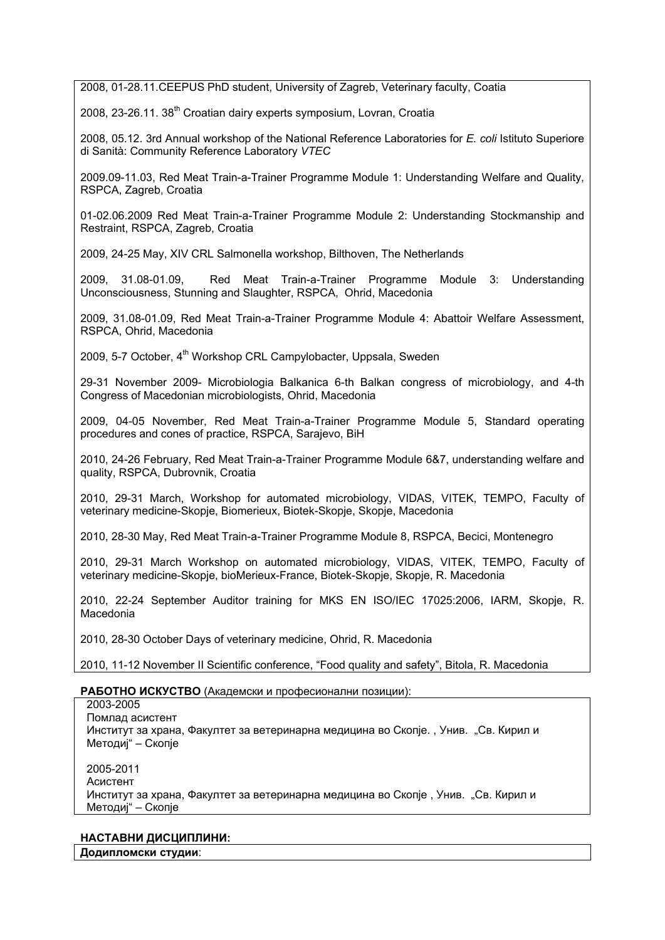2008, 01-28.11.CEEPUS PhD student, University of Zagreb, Veterinary faculty, Coatia

2008, 23-26.11. 38<sup>th</sup> Croatian dairy experts symposium, Lovran, Croatia

2008, 05.12. 3rd Annual workshop of the National Reference Laboratories for *E. coli* [Istituto Superiore](http://www.iss.it/vtec/index.php)  [di Sanità: Community Reference Laboratory](http://www.iss.it/vtec/index.php) *VTEC*

2009.09-11.03, Red Meat Train-a-Trainer Programme Module 1: Understanding Welfare and Quality, RSPCA, Zagreb, Croatia

01-02.06.2009 Red Meat Train-a-Trainer Programme Module 2: Understanding Stockmanship and Restraint, RSPCA, Zagreb, Croatia

2009, 24-25 May, XIV CRL Salmonella workshop, Bilthoven, The Netherlands

2009, 31.08-01.09, Red Meat Train-a-Trainer Programme Module 3: Understanding Unconsciousness, Stunning and Slaughter, RSPCA, Ohrid, Macedonia

2009, 31.08-01.09, Red Meat Train-a-Trainer Programme Module 4: Abattoir Welfare Assessment, RSPCA, Ohrid, Macedonia

2009, 5-7 October, 4<sup>th</sup> Workshop CRL Campylobacter, Uppsala, Sweden

29-31 November 2009- Microbiologia Balkanica 6-th Balkan congress of microbiology, and 4-th Congress of Macedonian microbiologists, Ohrid, Macedonia

2009, 04-05 November, Red Meat Train-a-Trainer Programme Module 5, Standard operating procedures and cones of practice, RSPCA, Sarajevo, BiH

2010, 24-26 February, Red Meat Train-a-Trainer Programme Module 6&7, understanding welfare and quality, RSPCA, Dubrovnik, Croatia

2010, 29-31 March, Workshop for automated microbiology, VIDAS, VITEK, TEMPO, Faculty of veterinary medicine-Skopje, Biomerieux, Biotek-Skopje, Skopje, Macedonia

2010, 28-30 May, Red Meat Train-a-Trainer Programme Module 8, RSPCA, Becici, Montenegro

2010, 29-31 March Workshop on automated microbiology, VIDAS, VITEK, TEMPO, Faculty of veterinary medicine-Skopje, bioMerieux-France, Biotek-Skopje, Skopje, R. Macedonia

2010, 22-24 September Auditor training for MKS EN ISO/IEC 17025:2006, IARM, Skopje, R. Macedonia

2010, 28-30 October Days of veterinary medicine, Ohrid, R. Macedonia

2010, 11-12 November II Scientific conference, "Food quality and safety", Bitola, R. Macedonia

### **РАБОТНО ИСКУСТВО** (Академски и професионални позиции):

| 2003-2005<br>Помлад асистент<br>Институт за храна, Факултет за ветеринарна медицина во Скопје., Унив. "Св. Кирил и<br>Методиј" – Скопје |  |
|-----------------------------------------------------------------------------------------------------------------------------------------|--|
| 2005-2011<br>Асистент<br>Институт за храна, Факултет за ветеринарна медицина во Скопје, Унив. "Св. Кирил и<br>Методиј" – Скопје         |  |

#### **НАСТАВНИ ДИСЦИПЛИНИ: Додипломски студии**: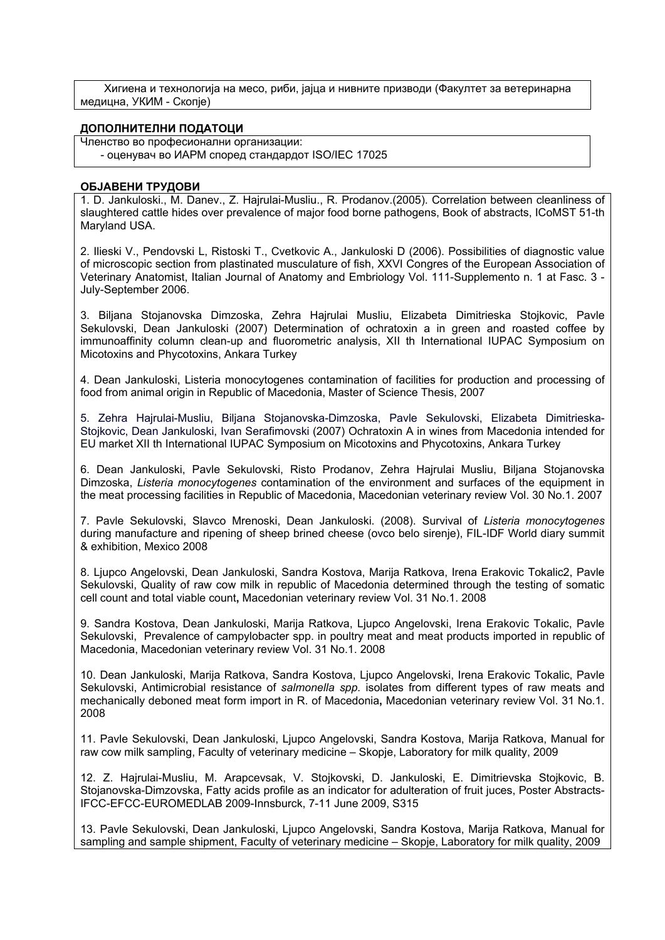Хигиена и технологија на месо, риби, јајца и нивните призводи (Факултет за ветеринарна медицна, УКИМ - Скопје)

#### **ДОПОЛНИТЕЛНИ ПОДАТОЦИ**

Членство во професионални организации: - оценувач во ИАРМ според стандардот ISO/IEC 17025

#### **БЈАВЕНИ ТРУДОВИ О**

1. D. Jankuloski., M. Danev., Z. Hajrulai-Musliu., R. Prodanov.(2005). Correlation between cleanliness of slaughtered cattle hides over prevalence of major food borne pathogens, Book of abstracts, ICoMST 51-th Maryland USA.

2. Ilieski V., Pendovski L, Ristoski T., Cvetkovic A., Jankuloski D (2006). Possibilities of diagnostic value of microscopic section from plastinated musculature of fish, XXVI Congres of the European Association of Veterinary Anatomist, Italian Journal of Anatomy and Embriology Vol. 111-Supplemento n. 1 at Fasc. 3 - July-September 2006.

3. Biljana Stojanovska Dimzoska, Zehra Hajrulai Musliu, Elizabeta Dimitrieska Stojkovic, Pavle Sekulovski, Dean Jankuloski (2007) Determination of ochratoxin a in green and roasted coffee by immunoaffinity column clean-up and fluorometric analysis, XII th International IUPAC Symposium on Micotoxins and Phycotoxins, Ankara Turkey

4. Dean Jankuloski, Listeria monocytogenes contamination of facilities for production and processing of food from animal origin in Republic of Macedonia, Master of Science Thesis, 2007

5. Zehra Hajrulai-Musliu, Biljana Stojanovska-Dimzoska, Pavle Sekulovski, Elizabeta Dimitrieska-Stojkovic, Dean Jankuloski, Ivan Serafimovski (2007) Ochratoxin A in wines from Macedonia intended for EU market XII th International IUPAC Symposium on Micotoxins and Phycotoxins, Ankara Turkey

6. Dean Jankuloski, Pavle Sekulovski, Risto Prodanov, Zehra Hajrulai Musliu, Biljana Stojanovska Dimzoska, *Listeria monocytogenes* contamination of the environment and surfaces of the equipment in the meat processing facilities in Republic of Macedonia, Macedonian veterinary review Vol. 30 No.1. 2007

7. Pavle Sekulovski, Slavco Mrenoski, Dean Jankuloski. (2008). Survival of *Listeria monocytogenes* during manufacture and ripening of sheep brined cheese (ovco belo sirenje), FIL-IDF World diary summit & exhibition, Mexico 2008

8. Ljupco Angelovski, Dean Jankuloski, Sandra Kostova, Marija Ratkova, Irena Erakovic Tokalic2, Pavle Sekulovski, Quality of raw cow milk in republic of Macedonia determined through the testing of somatic cell count and total viable count**,** Macedonian veterinary review Vol. 31 No.1. 2008

9. Sandra Kostova, Dean Jankuloski, Marija Ratkova, Ljupco Angelovski, Irena Erakovic Tokalic, Pavle Sekulovski, Prevalence of campylobacter spp. in poultry meat and meat products imported in republic of Macedonia, Macedonian veterinary review Vol. 31 No.1. 2008

10. Dean Jankuloski, Marija Ratkova, Sandra Kostova, Ljupco Angelovski, Irena Erakovic Tokalic, Pavle Sekulovski, Antimicrobial resistance of *salmonella spp.* isolates from different types of raw meats and mechanically deboned meat form import in R. of Macedonia**,** Macedonian veterinary review Vol. 31 No.1. 2008

11. Pavle Sekulovski, Dean Jankuloski, Ljupco Angelovski, Sandra Kostova, Marija Ratkova, Manual for raw cow milk sampling, Faculty of veterinary medicine – Skopje, Laboratory for milk quality, 2009

12. Z. Hajrulai-Musliu, M. Arapcevsak, V. Stojkovski, D. Jankuloski, E. Dimitrievska Stojkovic, B. Stojanovska-Dimzovska, Fatty acids profile as an indicator for adulteration of fruit juces, Poster Abstracts-IFCC-EFCC-EUROMEDLAB 2009-Innsburck, 7-11 June 2009, S315

13. Pavle Sekulovski, Dean Jankuloski, Ljupco Angelovski, Sandra Kostova, Marija Ratkova, Manual for sampling and sample shipment, Faculty of veterinary medicine – Skopje, Laboratory for milk quality, 2009